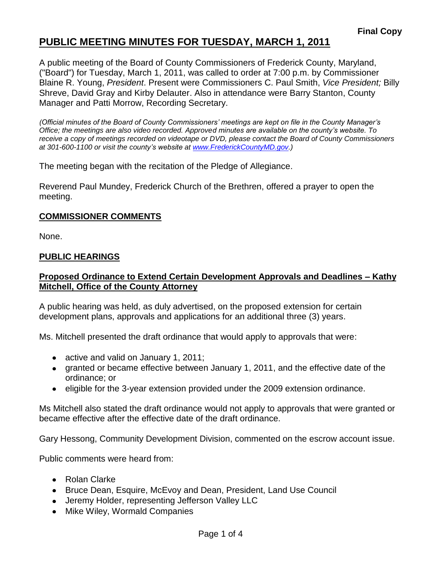A public meeting of the Board of County Commissioners of Frederick County, Maryland, ("Board") for Tuesday, March 1, 2011, was called to order at 7:00 p.m. by Commissioner Blaine R. Young, *President*. Present were Commissioners C. Paul Smith, *Vice President;* Billy Shreve, David Gray and Kirby Delauter. Also in attendance were Barry Stanton, County Manager and Patti Morrow, Recording Secretary.

*(Official minutes of the Board of County Commissioners' meetings are kept on file in the County Manager's Office; the meetings are also video recorded. Approved minutes are available on the county's website. To receive a copy of meetings recorded on videotape or DVD, please contact the Board of County Commissioners at 301-600-1100 or visit the county's website at [www.FrederickCountyMD.gov.](http://www.frederickcountymd.gov/))*

The meeting began with the recitation of the Pledge of Allegiance.

Reverend Paul Mundey, Frederick Church of the Brethren, offered a prayer to open the meeting.

#### **COMMISSIONER COMMENTS**

None.

### **PUBLIC HEARINGS**

### **Proposed Ordinance to Extend Certain Development Approvals and Deadlines – Kathy Mitchell, Office of the County Attorney**

A public hearing was held, as duly advertised, on the proposed extension for certain development plans, approvals and applications for an additional three (3) years.

Ms. Mitchell presented the draft ordinance that would apply to approvals that were:

- active and valid on January 1, 2011;
- granted or became effective between January 1, 2011, and the effective date of the ordinance; or
- eligible for the 3-year extension provided under the 2009 extension ordinance.

Ms Mitchell also stated the draft ordinance would not apply to approvals that were granted or became effective after the effective date of the draft ordinance.

Gary Hessong, Community Development Division, commented on the escrow account issue.

Public comments were heard from:

- Rolan Clarke
- Bruce Dean, Esquire, McEvoy and Dean, President, Land Use Council
- Jeremy Holder, representing Jefferson Valley LLC
- Mike Wiley, Wormald Companies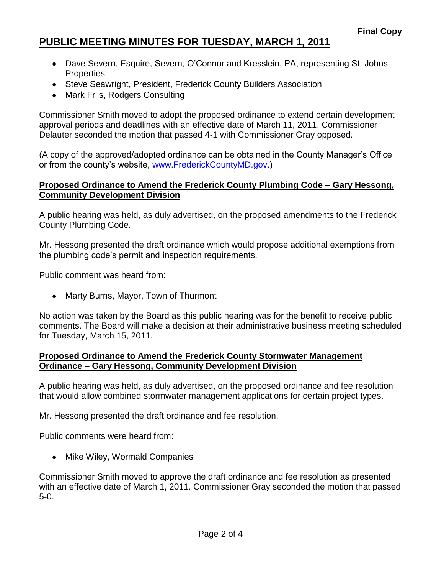- Dave Severn, Esquire, Severn, O'Connor and Kresslein, PA, representing St. Johns **Properties**
- Steve Seawright, President, Frederick County Builders Association
- Mark Friis, Rodgers Consulting

Commissioner Smith moved to adopt the proposed ordinance to extend certain development approval periods and deadlines with an effective date of March 11, 2011. Commissioner Delauter seconded the motion that passed 4-1 with Commissioner Gray opposed.

(A copy of the approved/adopted ordinance can be obtained in the County Manager's Office or from the county's website, [www.FrederickCountyMD.gov.](http://www.frederickcountymd.gov/))

### **Proposed Ordinance to Amend the Frederick County Plumbing Code – Gary Hessong, Community Development Division**

A public hearing was held, as duly advertised, on the proposed amendments to the Frederick County Plumbing Code.

Mr. Hessong presented the draft ordinance which would propose additional exemptions from the plumbing code's permit and inspection requirements.

Public comment was heard from:

• Marty Burns, Mayor, Town of Thurmont

No action was taken by the Board as this public hearing was for the benefit to receive public comments. The Board will make a decision at their administrative business meeting scheduled for Tuesday, March 15, 2011.

### **Proposed Ordinance to Amend the Frederick County Stormwater Management Ordinance – Gary Hessong, Community Development Division**

A public hearing was held, as duly advertised, on the proposed ordinance and fee resolution that would allow combined stormwater management applications for certain project types.

Mr. Hessong presented the draft ordinance and fee resolution.

Public comments were heard from:

• Mike Wiley, Wormald Companies

Commissioner Smith moved to approve the draft ordinance and fee resolution as presented with an effective date of March 1, 2011. Commissioner Gray seconded the motion that passed 5-0.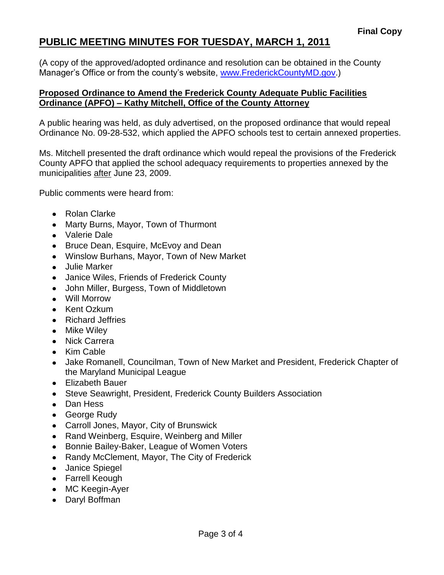(A copy of the approved/adopted ordinance and resolution can be obtained in the County Manager's Office or from the county's website, [www.FrederickCountyMD.gov.](http://www.frederickcountymd.gov/))

## **Proposed Ordinance to Amend the Frederick County Adequate Public Facilities Ordinance (APFO) – Kathy Mitchell, Office of the County Attorney**

A public hearing was held, as duly advertised, on the proposed ordinance that would repeal Ordinance No. 09-28-532, which applied the APFO schools test to certain annexed properties.

Ms. Mitchell presented the draft ordinance which would repeal the provisions of the Frederick County APFO that applied the school adequacy requirements to properties annexed by the municipalities after June 23, 2009.

Public comments were heard from:

- Rolan Clarke
- Marty Burns, Mayor, Town of Thurmont
- Valerie Dale
- Bruce Dean, Esquire, McEvoy and Dean
- Winslow Burhans, Mayor, Town of New Market
- Julie Marker
- Janice Wiles, Friends of Frederick County
- John Miller, Burgess, Town of Middletown
- Will Morrow
- Kent Ozkum
- Richard Jeffries
- Mike Wiley
- Nick Carrera
- Kim Cable
- Jake Romanell, Councilman, Town of New Market and President, Frederick Chapter of the Maryland Municipal League
- Elizabeth Bauer
- Steve Seawright, President, Frederick County Builders Association
- Dan Hess
- George Rudy
- Carroll Jones, Mayor, City of Brunswick
- Rand Weinberg, Esquire, Weinberg and Miller
- Bonnie Bailey-Baker, League of Women Voters
- Randy McClement, Mayor, The City of Frederick
- Janice Spiegel
- Farrell Keough
- MC Keegin-Ayer
- Daryl Boffman